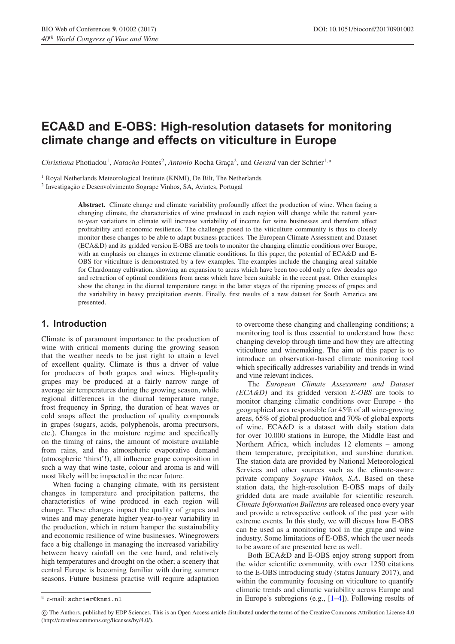# **ECA&D and E-OBS: High-resolution datasets for monitoring climate change and effects on viticulture in Europe**

*Christiana* Photiadou<sup>1</sup>, *Natacha* Fontes<sup>2</sup>, *Antonio* Rocha Graça<sup>2</sup>, and *Gerard* van der Schrier<sup>1, a</sup>

<sup>1</sup> Royal Netherlands Meteorological Institute (KNMI), De Bilt, The Netherlands

<sup>2</sup> Investigação e Desenvolvimento Sogrape Vinhos, SA, Avintes, Portugal

**Abstract.** Climate change and climate variability profoundly affect the production of wine. When facing a changing climate, the characteristics of wine produced in each region will change while the natural yearto-year variations in climate will increase variability of income for wine businesses and therefore affect profitability and economic resilience. The challenge posed to the viticulture community is thus to closely monitor these changes to be able to adapt business practices. The European Climate Assessment and Dataset (ECA&D) and its gridded version E-OBS are tools to monitor the changing climatic conditions over Europe, with an emphasis on changes in extreme climatic conditions. In this paper, the potential of ECA&D and E-OBS for viticulture is demonstrated by a few examples. The examples include the changing areal suitable for Chardonnay cultivation, showing an expansion to areas which have been too cold only a few decades ago and retraction of optimal conditions from areas which have been suitable in the recent past. Other examples show the change in the diurnal temperature range in the latter stages of the ripening process of grapes and the variability in heavy precipitation events. Finally, first results of a new dataset for South America are presented.

## **1. Introduction**

Climate is of paramount importance to the production of wine with critical moments during the growing season that the weather needs to be just right to attain a level of excellent quality. Climate is thus a driver of value for producers of both grapes and wines. High-quality grapes may be produced at a fairly narrow range of average air temperatures during the growing season, while regional differences in the diurnal temperature range, frost frequency in Spring, the duration of heat waves or cold snaps affect the production of quality compounds in grapes (sugars, acids, polyphenols, aroma precursors, etc.). Changes in the moisture regime and specifically on the timing of rains, the amount of moisture available from rains, and the atmospheric evaporative demand (atmospheric 'thirst'!), all influence grape composition in such a way that wine taste, colour and aroma is and will most likely will be impacted in the near future.

When facing a changing climate, with its persistent changes in temperature and precipitation patterns, the characteristics of wine produced in each region will change. These changes impact the quality of grapes and wines and may generate higher year-to-year variability in the production, which in return hamper the sustainability and economic resilience of wine businesses. Winegrowers face a big challenge in managing the increased variability between heavy rainfall on the one hand, and relatively high temperatures and drought on the other; a scenery that central Europe is becoming familiar with during summer seasons. Future business practise will require adaptation

to overcome these changing and challenging conditions; a monitoring tool is thus essential to understand how these changing develop through time and how they are affecting viticulture and winemaking. The aim of this paper is to introduce an observation-based climate monitoring tool which specifically addresses variability and trends in wind and vine relevant indices.

The *European Climate Assessment and Dataset (ECA&D)* and its gridded version *E-OBS* are tools to monitor changing climatic conditions over Europe - the geographical area responsible for 45% of all wine-growing areas, 65% of global production and 70% of global exports of wine. ECA&D is a dataset with daily station data for over 10.000 stations in Europe, the Middle East and Northern Africa, which includes 12 elements – among them temperature, precipitation, and sunshine duration. The station data are provided by National Meteorological Services and other sources such as the climate-aware private company *Sogrape Vinhos, S.A*. Based on these station data, the high-resolution E-OBS maps of daily gridded data are made available for scientific research. *Climate Information Bulletins* are released once every year and provide a retrospective outlook of the past year with extreme events. In this study, we will discuss how E-OBS can be used as a monitoring tool in the grape and wine industry. Some limitations of E-OBS, which the user needs to be aware of are presented here as well.

Both ECA&D and E-OBS enjoy strong support from the wider scientific community, with over 1250 citations to the E-OBS introducing study (status January 2017), and within the community focusing on viticulture to quantify climatic trends and climatic variability across Europe and in Europe's subregions (e.g., [\[1](#page-4-0)[–4](#page-4-1)]). Following results of

c The Authors, published by EDP Sciences. This is an Open Access article distributed under the terms of the Creative Commons Attribution License 4.0 (http://creativecommons.org/licenses/by/4.0/).

<sup>a</sup> e-mail: schrier@knmi.nl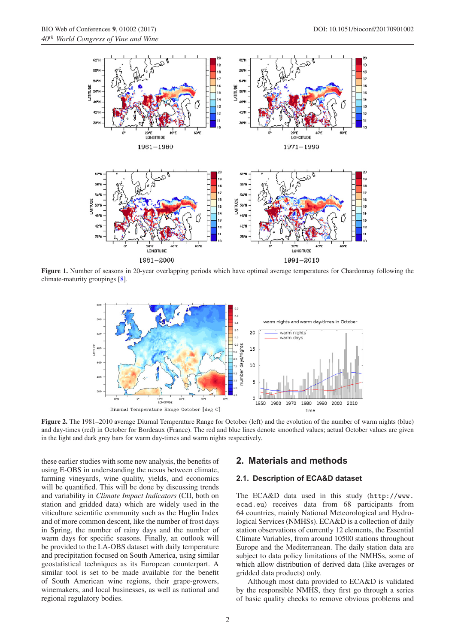

<span id="page-1-0"></span>**Figure 1.** Number of seasons in 20-year overlapping periods which have optimal average temperatures for Chardonnay following the climate-maturity groupings [\[8\]](#page-4-2).



<span id="page-1-1"></span>**Figure 2.** The 1981–2010 average Diurnal Temperature Range for October (left) and the evolution of the number of warm nights (blue) and day-times (red) in October for Bordeaux (France). The red and blue lines denote smoothed values; actual October values are given in the light and dark grey bars for warm day-times and warm nights respectively.

these earlier studies with some new analysis, the benefits of using E-OBS in understanding the nexus between climate, farming vineyards, wine quality, yields, and economics will be quantified. This will be done by discussing trends and variability in *Climate Impact Indicators* (CII, both on station and gridded data) which are widely used in the viticulture scientific community such as the Huglin Index and of more common descent, like the number of frost days in Spring, the number of rainy days and the number of warm days for specific seasons. Finally, an outlook will be provided to the LA-OBS dataset with daily temperature and precipitation focused on South America, using similar geostatistical techniques as its European counterpart. A similar tool is set to be made available for the benefit of South American wine regions, their grape-growers, winemakers, and local businesses, as well as national and regional regulatory bodies.

#### **2. Materials and methods**

#### **2.1. Description of ECA&D dataset**

The ECA&D data used in this study (http://www. ecad.eu) receives data from 68 participants from 64 countries, mainly National Meteorological and Hydrological Services (NMHSs). ECA&D is a collection of daily station observations of currently 12 elements, the Essential Climate Variables, from around 10500 stations throughout Europe and the Mediterranean. The daily station data are subject to data policy limitations of the NMHSs, some of which allow distribution of derived data (like averages or gridded data products) only.

Although most data provided to ECA&D is validated by the responsible NMHS, they first go through a series of basic quality checks to remove obvious problems and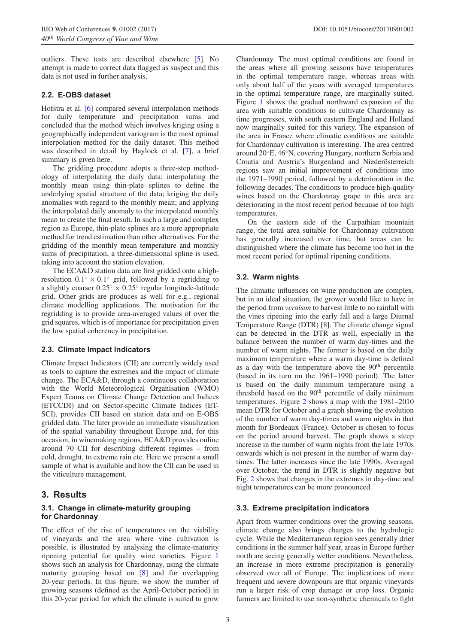outliers. These tests are described elsewhere [\[5](#page-4-3)]. No attempt is made to correct data flagged as suspect and this data is not used in further analysis.

#### **2.2. E-OBS dataset**

Hofstra et al. [\[6\]](#page-4-4) compared several interpolation methods for daily temperature and precipitation sums and concluded that the method which involves kriging using a geographically independent variogram is the most optimal interpolation method for the daily dataset. This method was described in detail by Haylock et al. [\[7](#page-4-5)], a brief summary is given here.

The gridding procedure adopts a three-step methodology of interpolating the daily data: interpolating the monthly mean using thin-plate splines to define the underlying spatial structure of the data; kriging the daily anomalies with regard to the monthly mean; and applying the interpolated daily anomaly to the interpolated monthly mean to create the final result. In such a large and complex region as Europe, thin-plate splines are a more appropriate method for trend estimation than other alternatives. For the gridding of the monthly mean temperature and monthly sums of precipitation, a three-dimensional spline is used, taking into account the station elevation.

The ECA&D station data are first gridded onto a highresolution  $0.1° \times 0.1°$  grid, followed by a regridding to a slightly coarser 0*.*25◦ × 0*.*25◦ regular longitude-latitude grid. Other grids are produces as well for e.g., regional climate modelling applications. The motivation for the regridding is to provide area-averaged values of over the grid squares, which is of importance for precipitation given the low spatial coherency in precipitation.

#### **2.3. Climate Impact Indicators**

Climate Impact Indicators (CII) are currently widely used as tools to capture the extremes and the impact of climate change. The ECA&D, through a continuous collaboration with the World Meteorological Organisation (WMO) Expert Teams on Climate Change Detection and Indices (ETCCDI) and on Sector-specific Climate Indices (ET-SCI), provides CII based on station data and on E-OBS gridded data. The later provide an immediate visualization of the spatial variability throughout Europe and, for this occasion, in winemaking regions. ECA&D provides online around 70 CII for describing different regimes – from cold, drought, to extreme rain etc. Here we present a small sample of what is available and how the CII can be used in the viticulture management.

### **3. Results**

#### **3.1. Change in climate-maturity grouping for Chardonnay**

The effect of the rise of temperatures on the viability of vineyards and the area where vine cultivation is possible, is illustrated by analysing the climate-maturity ripening potential for quality wine varieties. Figure [1](#page-1-0) shows such an analysis for Chardonnay, using the climate maturity grouping based on [\[8](#page-4-2)] and for overlapping 20-year periods. In this figure, we show the number of growing seasons (defined as the April-October period) in this 20-year period for which the climate is suited to grow Chardonnay. The most optimal conditions are found in the areas where all growing seasons have temperatures in the optimal temperature range, whereas areas with only about half of the years with averaged temperatures in the optimal temperature range, are marginally suited. Figure [1](#page-1-0) shows the gradual northward expansion of the area with suitable conditions to cultivate Chardonnay as time progresses, with south eastern England and Holland now marginally suited for this variety. The expansion of the area in France where climatic conditions are suitable for Chardonnay cultivation is interesting. The area centred around 20◦E, 46◦N, covering Hungary, northern Serbia and Croatia and Austria's Burgenland and Niederösterreich regions saw an initial improvement of conditions into the 1971–1990 period, followed by a deterioration in the following decades. The conditions to produce high-quality wines based on the Chardonnay grape in this area are deteriorating in the most recent period because of too high temperatures.

On the eastern side of the Carpathian mountain range, the total area suitable for Chardonnay cultivation has generally increased over time, but areas can be distinguished where the climate has become too hot in the most recent period for optimal ripening conditions.

#### **3.2. Warm nights**

The climatic influences on wine production are complex, but in an ideal situation, the grower would like to have in the period from *veraison* to harvest little to no rainfall with the vines ripening into the early fall and a large Diurnal Temperature Range (DTR) [8]. The climate change signal can be detected in the DTR as well, especially in the balance between the number of warm day-times and the number of warm nights. The former is based on the daily maximum temperature where a warm day-time is defined as a day with the temperature above the  $90<sup>th</sup>$  percentile (based in its turn on the 1961–1990 period). The latter is based on the daily minimum temperature using a threshold based on the  $90<sup>th</sup>$  percentile of daily minimum temperatures. Figure [2](#page-1-1) shows a map with the 1981–2010 mean DTR for October and a graph showing the evolution of the number of warm day-times and warm nights in that month for Bordeaux (France). October is chosen to focus on the period around harvest. The graph shows a steep increase in the number of warm nights from the late 1970s onwards which is not present in the number of warm daytimes. The latter increases since the late 1990s. Averaged over October, the trend in DTR is slightly negative but Fig. [2](#page-1-1) shows that changes in the extremes in day-time and night temperatures can be more pronounced.

#### **3.3. Extreme precipitation indicators**

Apart from warmer conditions over the growing seasons, climate change also brings changes to the hydrologic cycle. While the Mediterranean region sees generally drier conditions in the summer half year, areas in Europe further north are seeing generally wetter conditions. Nevertheless, an increase in more extreme precipitation is generally observed over all of Europe. The implications of more frequent and severe downpours are that organic vineyards run a larger risk of crop damage or crop loss. Organic farmers are limited to use non-synthetic chemicals to fight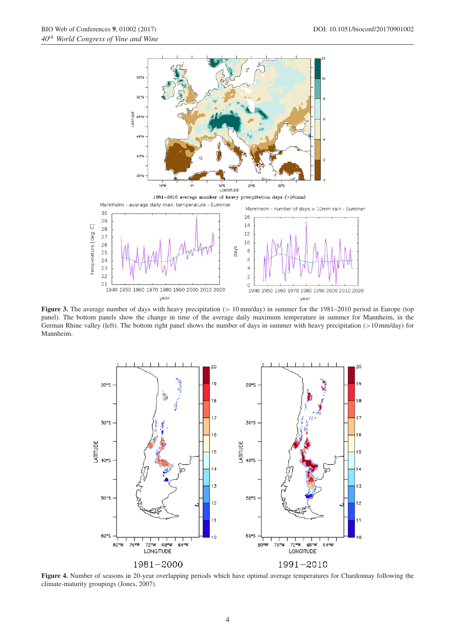

<span id="page-3-0"></span>**Figure 3.** The average number of days with heavy precipitation (*>* 10 mm/day) in summer for the 1981–2010 period in Europe (top panel). The bottom panels show the change in time of the average daily maximum temperature in summer for Mannheim, in the German Rhine valley (left). The bottom right panel shows the number of days in summer with heavy precipitation (*>*10 mm/day) for Mannheim.



<span id="page-3-1"></span>**Figure 4.** Number of seasons in 20-year overlapping periods which have optimal average temperatures for Chardonnay following the climate-maturity groupings (Jones, 2007).